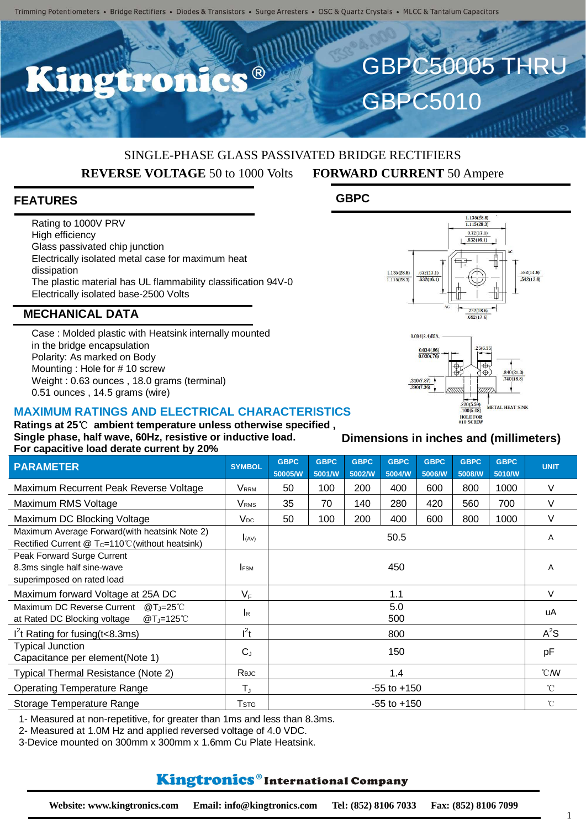$\bullet$   $\circledR$ 

## SINGLE-PHASE GLASS PASSIVATED BRIDGE RECTIFIERS **REVERSE VOLTAGE** 50 to 1000 Volts **FORWARD CURRENT** 50 Ampere

**GBPC**

#### **FEATURES**

Rating to 1000V PRV High efficiency Glass passivated chip junction Electrically isolated metal case for maximum heat dissipation The plastic material has UL flammability classification 94V-0 Electrically isolated base-2500 Volts

#### **MECHANICAL DATA**

Case : Molded plastic with Heatsink internally mounted in the bridge encapsulation Polarity: As marked on Body Mounting : Hole for # 10 screw Weight : 0.63 ounces , 18.0 grams (terminal) 0.51 ounces , 14.5 grams (wire)

#### **MAXIMUM RATINGS AND ELECTRICAL CHARACTERISTICS**

**Ratings at 25**℃ **ambient temperature unless otherwise specified , Single phase, half wave, 60Hz, resistive or inductive load. For capacitive load derate current by 20%**

| <b>PARAMETER</b>                                                                                         | <b>SYMBOL</b>           | <b>GBPC</b><br>50005/W | <b>GBPC</b><br>5001/W | <b>GBPC</b><br>5002/W | <b>GBPC</b><br>5004/W | <b>GBPC</b><br>5006/W | <b>GBPC</b><br>5008/W | <b>GBPC</b><br>5010/W | <b>UNIT</b>    |
|----------------------------------------------------------------------------------------------------------|-------------------------|------------------------|-----------------------|-----------------------|-----------------------|-----------------------|-----------------------|-----------------------|----------------|
| Maximum Recurrent Peak Reverse Voltage                                                                   | <b>VRRM</b>             | 50                     | 100                   | 200                   | 400                   | 600                   | 800                   | 1000                  | V              |
| Maximum RMS Voltage                                                                                      | <b>V</b> <sub>RMS</sub> | 35                     | 70                    | 140                   | 280                   | 420                   | 560                   | 700                   | V              |
| Maximum DC Blocking Voltage                                                                              | $V_{DC}$                | 50                     | 100                   | 200                   | 400                   | 600                   | 800                   | 1000                  | V              |
| Maximum Average Forward(with heatsink Note 2)<br>Rectified Current $@T_c=110^{\circ}$ (without heatsink) | (AV)                    | 50.5                   |                       |                       |                       |                       |                       |                       | A              |
| Peak Forward Surge Current<br>8.3ms single half sine-wave<br>superimposed on rated load                  | <b>FSM</b>              | 450                    |                       |                       |                       |                       |                       |                       | A              |
| Maximum forward Voltage at 25A DC                                                                        | $V_F$                   | 1.1                    |                       |                       |                       |                       |                       |                       | $\vee$         |
| Maximum DC Reverse Current<br>@T_ $=25^{\circ}$ C<br>$@T_J=125^\circ C$<br>at Rated DC Blocking voltage  | <b>I</b> R              | 5.0<br>500             |                       |                       |                       |                       |                       |                       | uA             |
| $I2$ t Rating for fusing (t<8.3ms)                                                                       | $l^2t$                  | 800                    |                       |                       |                       |                       |                       |                       | $A^2S$         |
| <b>Typical Junction</b><br>Capacitance per element(Note 1)                                               | $C_{J}$                 | 150                    |                       |                       |                       |                       |                       |                       | pF             |
| Typical Thermal Resistance (Note 2)                                                                      | Reuc                    | 1.4                    |                       |                       |                       |                       |                       |                       | $^{\circ}$ CMV |
| <b>Operating Temperature Range</b>                                                                       | $T_{\rm J}$             | $-55$ to $+150$        |                       |                       |                       |                       |                       |                       | $^{\circ}$ C   |
| Storage Temperature Range                                                                                | <b>T</b> stg            | $-55$ to $+150$        |                       |                       |                       |                       |                       |                       | $^{\circ}$ C   |

1- Measured at non-repetitive, for greater than 1ms and less than 8.3ms.

2- Measured at 1.0M Hz and applied reversed voltage of 4.0 VDC.

3-Device mounted on 300mm x 300mm x 1.6mm Cu Plate Heatsink.

#### **Kingtronics**®International Company

**Dimensions in inches and (millimeters)**



GBPC50005 THRU

**GBPC5010**